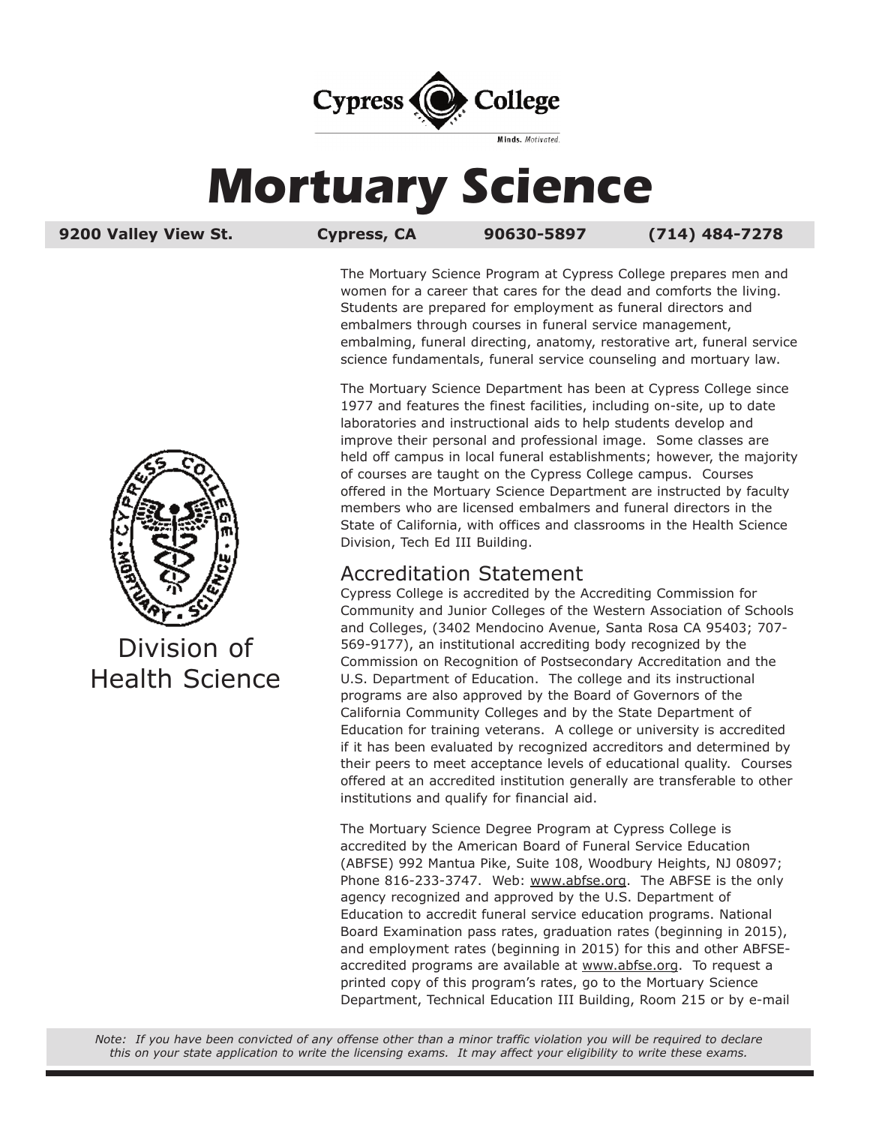

# **Mortuary Science**

**9200 Valley View St. Cypress, CA 90630-5897 (714) 484-7278**

The Mortuary Science Program at Cypress College prepares men and women for a career that cares for the dead and comforts the living. Students are prepared for employment as funeral directors and embalmers through courses in funeral service management, embalming, funeral directing, anatomy, restorative art, funeral service science fundamentals, funeral service counseling and mortuary law.

The Mortuary Science Department has been at Cypress College since 1977 and features the finest facilities, including on-site, up to date laboratories and instructional aids to help students develop and improve their personal and professional image. Some classes are held off campus in local funeral establishments; however, the majority of courses are taught on the Cypress College campus. Courses offered in the Mortuary Science Department are instructed by faculty members who are licensed embalmers and funeral directors in the State of California, with offices and classrooms in the Health Science Division, Tech Ed III Building.

## Accreditation Statement

Cypress College is accredited by the Accrediting Commission for Community and Junior Colleges of the Western Association of Schools and Colleges, (3402 Mendocino Avenue, Santa Rosa CA 95403; 707- 569-9177), an institutional accrediting body recognized by the Commission on Recognition of Postsecondary Accreditation and the U.S. Department of Education. The college and its instructional programs are also approved by the Board of Governors of the California Community Colleges and by the State Department of Education for training veterans. A college or university is accredited if it has been evaluated by recognized accreditors and determined by their peers to meet acceptance levels of educational quality. Courses offered at an accredited institution generally are transferable to other institutions and qualify for financial aid.

The Mortuary Science Degree Program at Cypress College is accredited by the American Board of Funeral Service Education (ABFSE) 992 Mantua Pike, Suite 108, Woodbury Heights, NJ 08097; Phone 816-233-3747. Web: www.abfse.org. The ABFSE is the only agency recognized and approved by the U.S. Department of Education to accredit funeral service education programs. National Board Examination pass rates, graduation rates (beginning in 2015), and employment rates (beginning in 2015) for this and other ABFSEaccredited programs are available at www.abfse.org. To request a printed copy of this program's rates, go to the Mortuary Science Department, Technical Education III Building, Room 215 or by e-mail



Division of Health Science

Note: If you have been convicted of any offense other than a minor traffic violation you will be required to declare this on your state application to write the licensing exams. It may affect your eligibility to write these exams.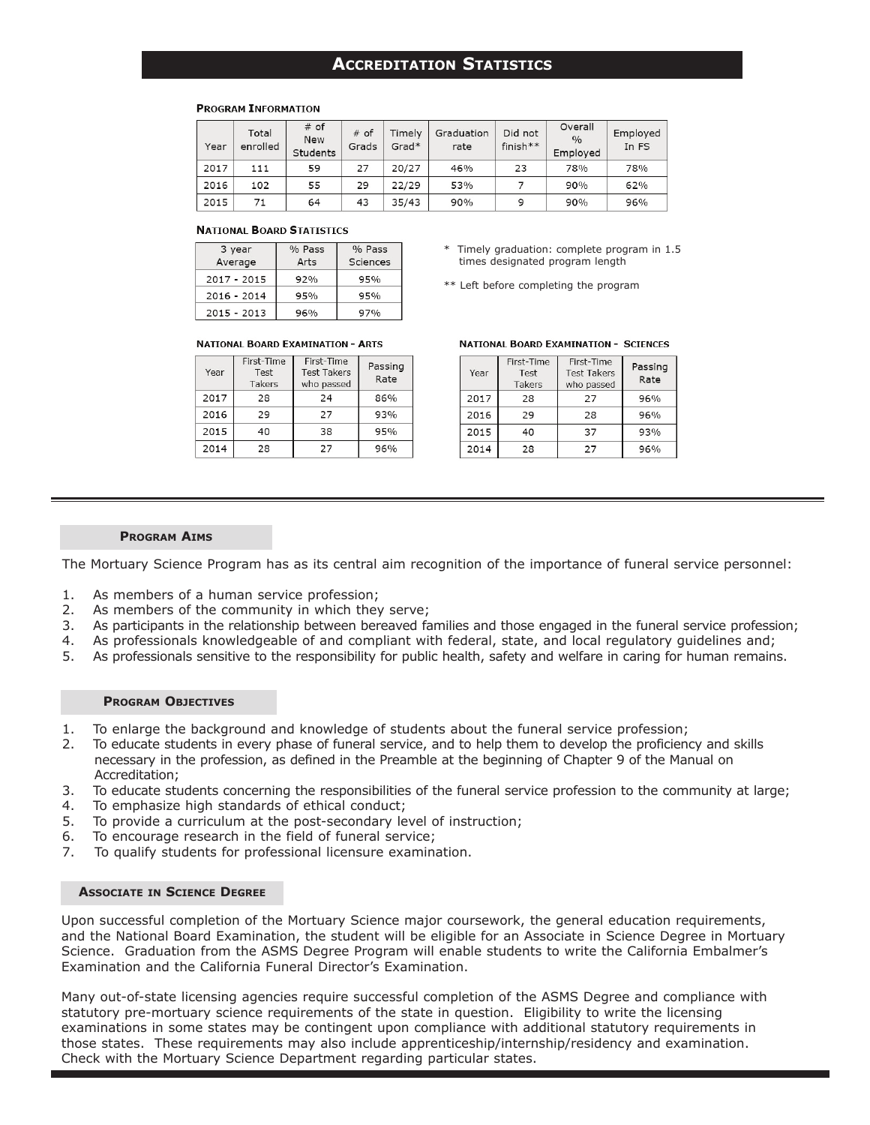## **ACCreditAtion StAtiStiCS**

#### **PROGRAM INFORMATION**

| Year | Total<br>enrolled | # of<br><b>New</b><br>Students | # of<br>Grads | Timely<br>$Grad*$ | Graduation<br>rate | Did not<br>$finish**$ | Overall<br>$\frac{0}{0}$<br>Employed | Employed<br>In FS |
|------|-------------------|--------------------------------|---------------|-------------------|--------------------|-----------------------|--------------------------------------|-------------------|
| 2017 | 111               | 59                             | 27            | 20/27             | 46%                | 23                    | 78%                                  | 78%               |
| 2016 | 102               | 55                             | 29            | 22/29             | 53%                |                       | 90%                                  | 62%               |
| 2015 | 71                | 64                             | 43            | 35/43             | 90%                | 9                     | 90%                                  | 96%               |

#### **NATIONAL BOARD STATISTICS**

| 3 year        | % Pass | % Pass   |
|---------------|--------|----------|
| Average       | Arts   | Sciences |
| $2017 - 2015$ | 92%    | 95%      |
| $2016 - 2014$ | 95%    | 95%      |
| $2015 - 2013$ | 96%    | 97%      |

#### **NATIONAL BOARD EXAMINATION - ARTS**

| Year | First-Time<br>Test<br>Takers | First-Time<br><b>Test Takers</b><br>who passed | Passing<br>Rate |
|------|------------------------------|------------------------------------------------|-----------------|
| 2017 | 28                           | 24                                             | 86%             |
| 2016 | 29                           | 27                                             | 93%             |
| 2015 | 40                           | 38                                             | 95%             |
| 2014 | 28                           | 27                                             | 96%             |

- Timely graduation: complete program in 1.5 times designated program length
- \*\* Left before completing the program

#### **NATIONAL BOARD EXAMINATION - SCIENCES**

| Year | First-Time<br>Test<br>Takers | First-Time<br><b>Test Takers</b><br>who passed | Passing<br>Rate |
|------|------------------------------|------------------------------------------------|-----------------|
| 2017 | 28                           | 27                                             | 96%             |
| 2016 | 29                           | 28                                             | 96%             |
| 2015 | 40                           | 37                                             | 93%             |
| 2014 | 28                           | 27                                             | 96%             |

#### **ProgrAm AimS**

The Mortuary Science Program has as its central aim recognition of the importance of funeral service personnel:

- 1. As members of a human service profession;
- 2. As members of the community in which they serve;
- 3. As participants in the relationship between bereaved families and those engaged in the funeral service profession;
- 4. As professionals knowledgeable of and compliant with federal, state, and local regulatory guidelines and;
- 5. As professionals sensitive to the responsibility for public health, safety and welfare in caring for human remains.

#### **ProgrAm objeCtiVeS**

- 1. To enlarge the background and knowledge of students about the funeral service profession;
- 2. To educate students in every phase of funeral service, and to help them to develop the proficiency and skills necessary in the profession, as defined in the Preamble at the beginning of Chapter 9 of the Manual on Accreditation;
- 3. To educate students concerning the responsibilities of the funeral service profession to the community at large;
- 4. To emphasize high standards of ethical conduct;
- 5. To provide a curriculum at the post-secondary level of instruction;
- 6. To encourage research in the field of funeral service;
- 7. To qualify students for professional licensure examination.

#### **ASSoCiAte in SCienCe degree**

Upon successful completion of the Mortuary Science major coursework, the general education requirements, and the National Board Examination, the student will be eligible for an Associate in Science Degree in Mortuary Science. Graduation from the ASMS Degree Program will enable students to write the California Embalmer's Examination and the California Funeral Director's Examination.

Many out-of-state licensing agencies require successful completion of the ASMS Degree and compliance with statutory pre-mortuary science requirements of the state in question. Eligibility to write the licensing examinations in some states may be contingent upon compliance with additional statutory requirements in those states. These requirements may also include apprenticeship/internship/residency and examination. Check with the Mortuary Science Department regarding particular states.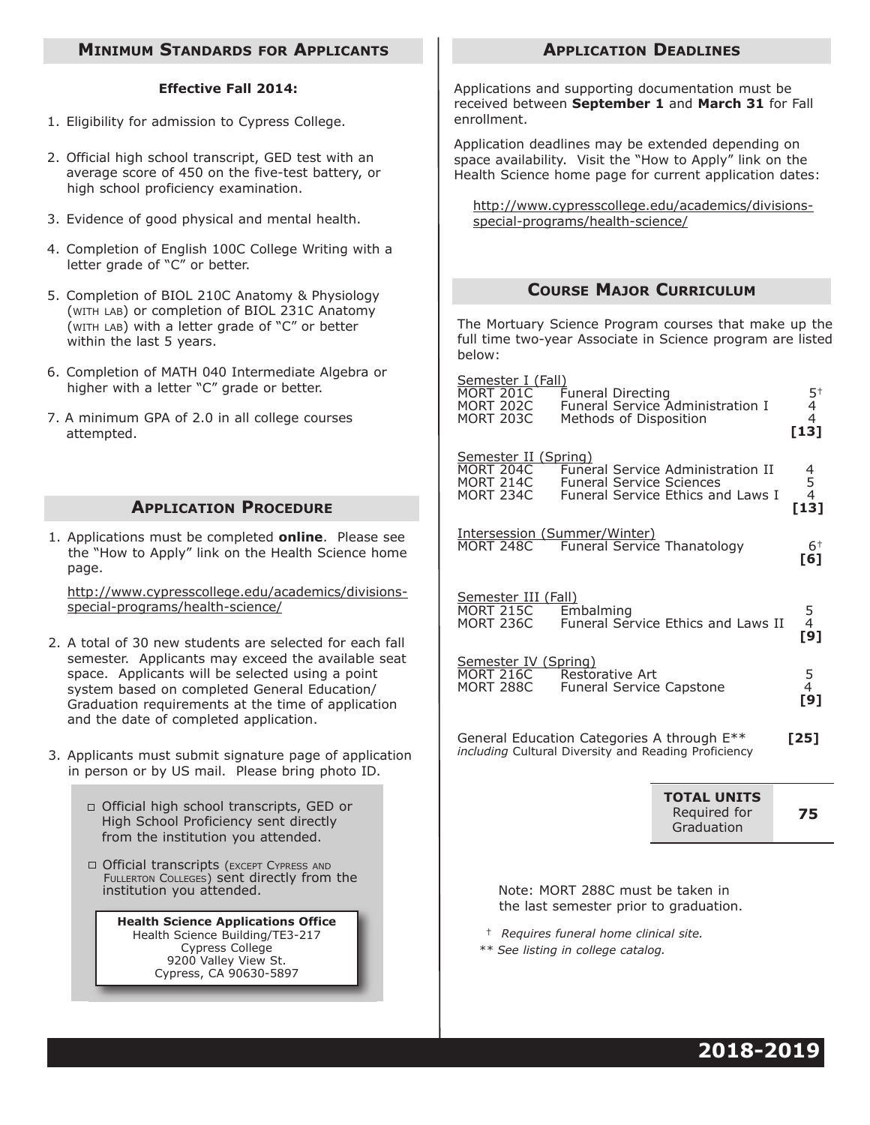## **minimUm StAndArdS For APPLiCAntS**

#### **effective Fall 2014:**

- 1. Eligibility for admission to Cypress College.
- 2. Official high school transcript, GED test with an average score of 450 on the five-test battery, or high school proficiency examination.
- 3. Evidence of good physical and mental health.
- 4. Completion of English 100C College Writing with a letter grade of "C" or better.
- 5. Completion of BIOL 210C Anatomy & Physiology (WITH LAB) or completion of BIOL 231C Anatomy (WITH LAB) with a letter grade of "C" or better within the last 5 years.
- 6. Completion of MATH 040 Intermediate Algebra or higher with a letter "C" grade or better.
- 7. A minimum GPA of 2.0 in all college courses attempted.

## **APPLICATION PROCEDURE**

1. Applications must be completed **online**. Please see the "How to Apply" link on the Health Science home page.

 http://www.cypresscollege.edu/academics/divisions special-programs/health-science/

- 2. A total of 30 new students are selected for each fall semester. Applicants may exceed the available seat space. Applicants will be selected using a point system based on completed General Education/ Graduation requirements at the time of application and the date of completed application.
- 3. Applicants must submit signature page of application in person or by US mail. Please bring photo ID.
	- Official high school transcripts, GED or High School Proficiency sent directly from the institution you attended.
	- □ Official transcripts (EXCEPT CYPRESS AND FULLERTON COLLEGES) sent directly from the institution you attended.

**Health Science Applications office** Health Science Building/TE3-217 Cypress College 9200 Valley View St. Cypress, CA 90630-5897

#### **APPLiCAtion deAdLineS**

Applications and supporting documentation must be received between **September 1** and **march 31** for Fall enrollment.

Application deadlines may be extended depending on space availability. Visit the "How to Apply" link on the Health Science home page for current application dates:

 http://www.cypresscollege.edu/academics/divisions special-programs/health-science/

## **CoUrSe mAjor CUrriCULUm**

The Mortuary Science Program courses that make up the full time two-year Associate in Science program are listed below:

| <u>Semester I (Fall)</u>                              |                                                                     |                                          |                   |  |  |
|-------------------------------------------------------|---------------------------------------------------------------------|------------------------------------------|-------------------|--|--|
| MORT 201C<br>MORT 202C<br>MORT 203C                   | <b>Funeral Directing</b><br>Methods of Disposition                  | Funeral Service Administration I         | $\frac{5}{4}^{+}$ |  |  |
|                                                       |                                                                     |                                          | $[13]$            |  |  |
| <u>Semester II (Spring)</u><br>MORT 204C<br>MORT 214C |                                                                     | <b>Funeral Service Administration II</b> |                   |  |  |
| MORT 234C                                             | <b>Funeral Service Sciences</b>                                     | Funeral Service Ethics and Laws I        | 4<br>5<br>4       |  |  |
|                                                       |                                                                     |                                          | $[13]$            |  |  |
| MORT 248C                                             | <u> Intersession (Summer/Winter)</u><br>Funeral Service Thanatology |                                          | $6+$              |  |  |
|                                                       |                                                                     |                                          | [6]               |  |  |
| Semester III (Fall)<br><b>MORT 215C</b>               | Embalming                                                           |                                          |                   |  |  |
| <b>MORT 236C</b>                                      |                                                                     | Funeral Service Ethics and Laws II       | 5<br>[9]          |  |  |
| <u>Semester IV (Spring)</u>                           |                                                                     |                                          |                   |  |  |
| <b>MORT 216C</b><br>MORT 288C                         | Restorative Art<br><b>Funeral Service Capstone</b>                  |                                          | 5<br>[9]          |  |  |
|                                                       |                                                                     |                                          |                   |  |  |
|                                                       | General Education Categories A through E**                          |                                          | [25]              |  |  |
| including Cultural Diversity and Reading Proficiency  |                                                                     |                                          |                   |  |  |
|                                                       |                                                                     | <b>TOTAL UNITS</b>                       |                   |  |  |
|                                                       |                                                                     | Required for<br>Graduation               | 75                |  |  |

 Note: MORT 288C must be taken in the last semester prior to graduation.

† *Requires funeral home clinical site.*

*\*\* See listing in college catalog.*